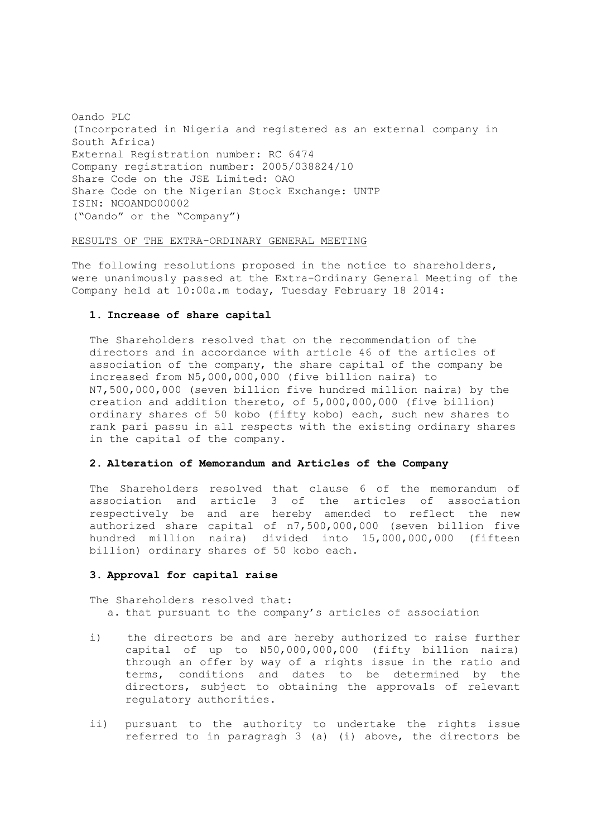Oando PLC (Incorporated in Nigeria and registered as an external company in South Africa) External Registration number: RC 6474 Company registration number: 2005/038824/10 Share Code on the JSE Limited: OAO Share Code on the Nigerian Stock Exchange: UNTP ISIN: NGOANDO00002 ("Oando" or the "Company")

## RESULTS OF THE EXTRA-ORDINARY GENERAL MEETING

The following resolutions proposed in the notice to shareholders, were unanimously passed at the Extra-Ordinary General Meeting of the Company held at 10:00a.m today, Tuesday February 18 2014:

## **1. Increase of share capital**

The Shareholders resolved that on the recommendation of the directors and in accordance with article 46 of the articles of association of the company, the share capital of the company be increased from N5,000,000,000 (five billion naira) to N7,500,000,000 (seven billion five hundred million naira) by the creation and addition thereto, of 5,000,000,000 (five billion) ordinary shares of 50 kobo (fifty kobo) each, such new shares to rank pari passu in all respects with the existing ordinary shares in the capital of the company.

## **2. Alteration of Memorandum and Articles of the Company**

The Shareholders resolved that clause 6 of the memorandum of association and article 3 of the articles of association respectively be and are hereby amended to reflect the new authorized share capital of n7,500,000,000 (seven billion five hundred million naira) divided into 15,000,000,000 (fifteen billion) ordinary shares of 50 kobo each.

## **3. Approval for capital raise**

The Shareholders resolved that: a. that pursuant to the company's articles of association

- i) the directors be and are hereby authorized to raise further capital of up to N50,000,000,000 (fifty billion naira) through an offer by way of a rights issue in the ratio and terms, conditions and dates to be determined by the directors, subject to obtaining the approvals of relevant regulatory authorities.
- ii) pursuant to the authority to undertake the rights issue referred to in paragragh 3 (a) (i) above, the directors be